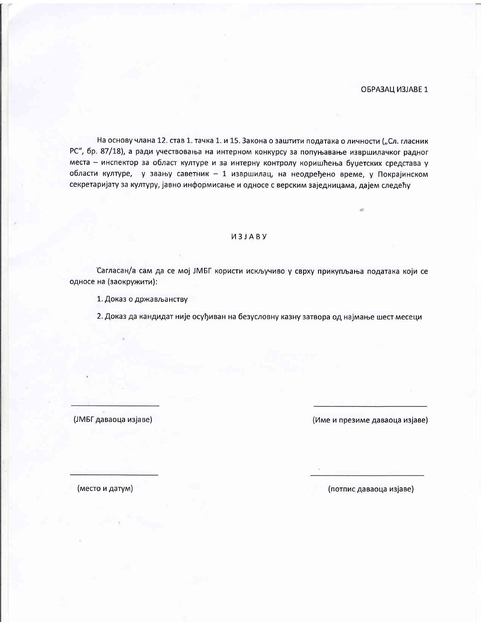# ОБРАЗАЦ ИЗЈАВЕ 1

На основу члана 12. став 1. тачка 1. и 15. Закона о заштити података о личности ("Сл. гласник РС", бр. 87/18), а ради учествовања на интерном конкурсу за попуњавање извршилачког радног места - инспектор за област културе и за интерну контролу коришћења буџетских средстава у области културе, у звању саветник - 1 извршилац, на неодређено време, у Покрајинском секретаријату за културу, јавно информисање и односе с верским заједницама, дајем следећу

#### *U3JABY*

Сагласан/а сам да се мој ЈМБГ користи искључиво у сврху прикупљања података који се односе на (заокружити):

1. Доказ о држављанству

2. Доказ да кандидат није осуђиван на безусловну казну затвора од најмање шест месеци

(ЈМБГ даваоца изјаве)

(Име и презиме даваоца изјаве)

(место и датум)

(потпис даваоца изјаве)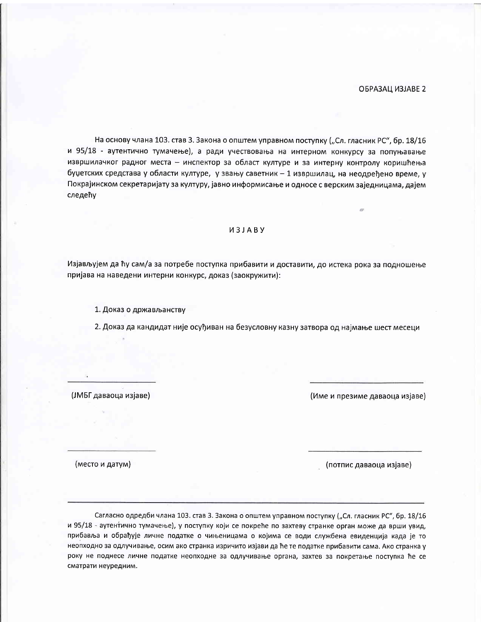На основу члана 103. став 3. Закона о општем управном поступку ("Сл. гласник РС", бр. 18/16 и 95/18 - аутентично тумачење), а ради учествовања на интерном конкурсу за попуњавање извршилачког радног места - инспектор за област културе и за интерну контролу коришћења буџетских средстава у области културе, у звању саветник - 1 извршилац, на неодређено време, у Покрајинском секретаријату за културу, јавно информисање и односе с верским заједницама, дајем следећу

## *M3JABY*

Изјављујем да ћу сам/а за потребе поступка прибавити и доставити, до истека рока за подношење пријава на наведени интерни конкурс, доказ (заокружити):

1. Доказ о држављанству

2. Доказ да кандидат није осуђиван на безусловну казну затвора од најмање шест месеци

(ЈМБГ даваоца изјаве)

(Име и презиме даваоца изјаве)

(место и датум)

(потпис даваоца изјаве)

Сагласно одредби члана 103. став 3. Закона о општем управном поступку ("Сл. гласник РС", бр. 18/16 и 95/18 - аутентично тумачење), у поступку који се покреће по захтеву странке орган може да врши увид, прибавља и обрађује личне податке о чињеницама о којима се води службена евиденција када је то неопходно за одлучивање, осим ако странка изричито изјави да ће те податке прибавити сама. Ако странка у року не поднесе личне податке неопходне за одлучивање органа, захтев за покретање поступка ће се сматрати неуредним.